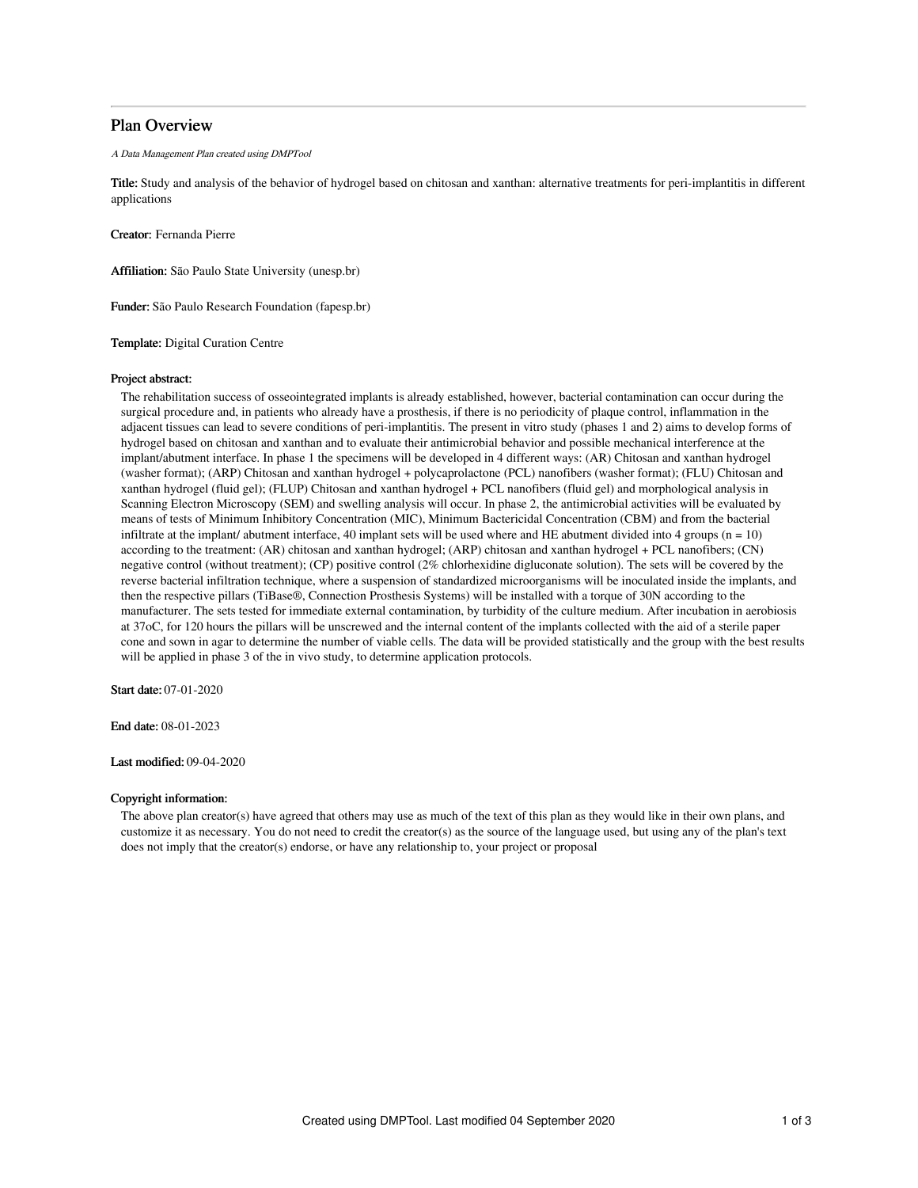# Plan Overview

A Data Management Plan created using DMPTool

Title: Study and analysis of the behavior of hydrogel based on chitosan and xanthan: alternative treatments for peri-implantitis in different applications

Creator: Fernanda Pierre

Affiliation: São Paulo State University (unesp.br)

Funder: São Paulo Research Foundation (fapesp.br)

Template: Digital Curation Centre

## Project abstract:

The rehabilitation success of osseointegrated implants is already established, however, bacterial contamination can occur during the surgical procedure and, in patients who already have a prosthesis, if there is no periodicity of plaque control, inflammation in the adjacent tissues can lead to severe conditions of peri-implantitis. The present in vitro study (phases 1 and 2) aims to develop forms of hydrogel based on chitosan and xanthan and to evaluate their antimicrobial behavior and possible mechanical interference at the implant/abutment interface. In phase 1 the specimens will be developed in 4 different ways: (AR) Chitosan and xanthan hydrogel (washer format); (ARP) Chitosan and xanthan hydrogel + polycaprolactone (PCL) nanofibers (washer format); (FLU) Chitosan and xanthan hydrogel (fluid gel); (FLUP) Chitosan and xanthan hydrogel + PCL nanofibers (fluid gel) and morphological analysis in Scanning Electron Microscopy (SEM) and swelling analysis will occur. In phase 2, the antimicrobial activities will be evaluated by means of tests of Minimum Inhibitory Concentration (MIC), Minimum Bactericidal Concentration (CBM) and from the bacterial infiltrate at the implant/ abutment interface, 40 implant sets will be used where and HE abutment divided into  $4$  groups (n = 10) according to the treatment: (AR) chitosan and xanthan hydrogel; (ARP) chitosan and xanthan hydrogel + PCL nanofibers; (CN) negative control (without treatment); (CP) positive control (2% chlorhexidine digluconate solution). The sets will be covered by the reverse bacterial infiltration technique, where a suspension of standardized microorganisms will be inoculated inside the implants, and then the respective pillars (TiBase®, Connection Prosthesis Systems) will be installed with a torque of 30N according to the manufacturer. The sets tested for immediate external contamination, by turbidity of the culture medium. After incubation in aerobiosis at 37oC, for 120 hours the pillars will be unscrewed and the internal content of the implants collected with the aid of a sterile paper cone and sown in agar to determine the number of viable cells. The data will be provided statistically and the group with the best results will be applied in phase 3 of the in vivo study, to determine application protocols.

Start date: 07-01-2020

End date: 08-01-2023

Last modified: 09-04-2020

## Copyright information:

The above plan creator(s) have agreed that others may use as much of the text of this plan as they would like in their own plans, and customize it as necessary. You do not need to credit the creator(s) as the source of the language used, but using any of the plan's text does not imply that the creator(s) endorse, or have any relationship to, your project or proposal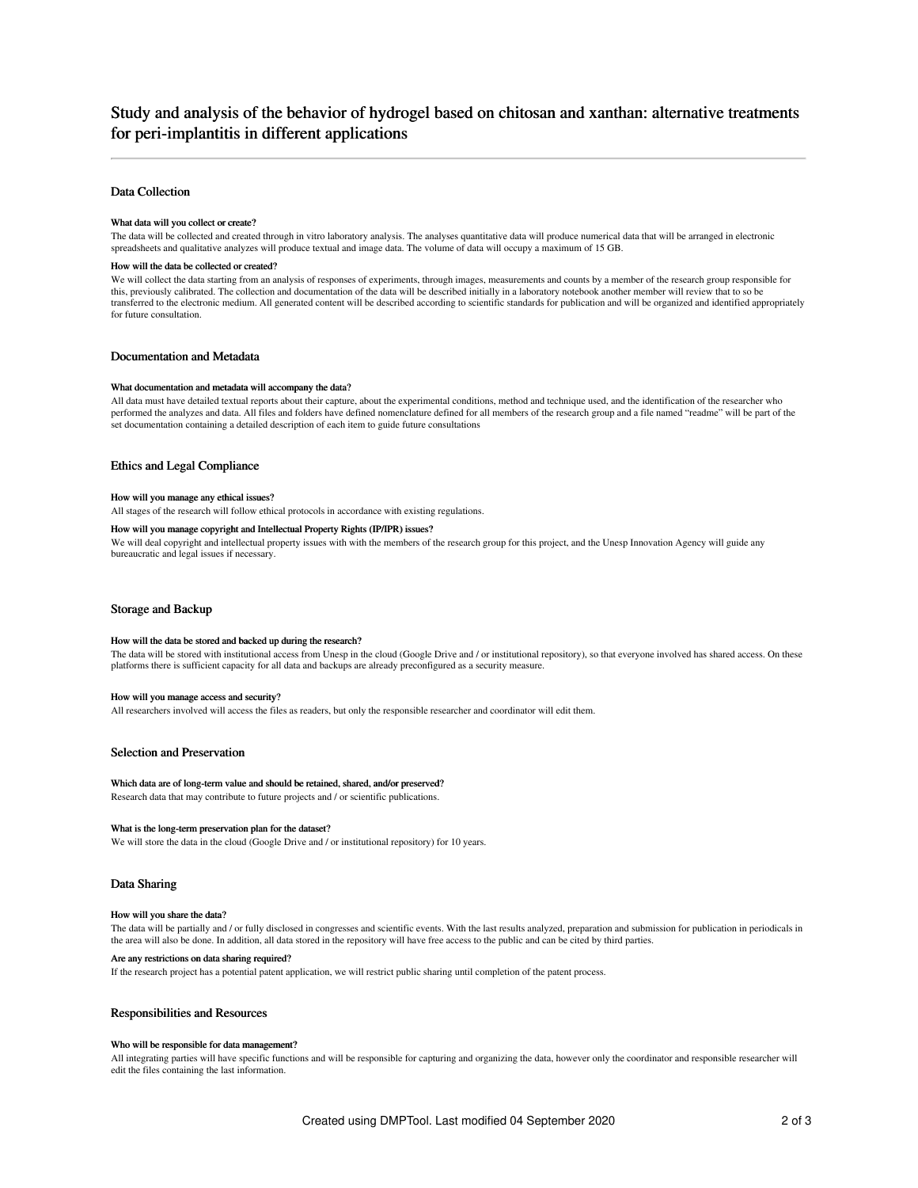# Study and analysis of the behavior of hydrogel based on chitosan and xanthan: alternative treatments for peri-implantitis in different applications

## Data Collection

## What data will you collect or create?

The data will be collected and created through in vitro laboratory analysis. The analyses quantitative data will produce numerical data that will be arranged in electronic spreadsheets and qualitative analyzes will produce textual and image data. The volume of data will occupy a maximum of 15 GB.

#### How will the data be collected or created?

We will collect the data starting from an analysis of responses of experiments, through images, measurements and counts by a member of the research group responsible for this, previously calibrated. The collection and documentation of the data will be described initially in a laboratory notebook another member will review that to so be transferred to the electronic medium. All generated content will be described according to scientific standards for publication and will be organized and identified appropriately for future consultation.

## Documentation and Metadata

#### What documentation and metadata will accompany the data?

All data must have detailed textual reports about their capture, about the experimental conditions, method and technique used, and the identification of the researcher who performed the analyzes and data. All files and folders have defined nomenclature defined for all members of the research group and a file named "readme" will be part of the set documentation containing a detailed description of each item to guide future consultations

#### Ethics and Legal Compliance

#### How will you manage any ethical issues?

All stages of the research will follow ethical protocols in accordance with existing regulations.

## How will you manage copyright and Intellectual Property Rights (IP/IPR) issues?

We will deal copyright and intellectual property issues with with the members of the research group for this project, and the Unesp Innovation Agency will guide any bureaucratic and legal issues if necessary.

## Storage and Backup

#### How will the data be stored and backed up during the research?

The data will be stored with institutional access from Unesp in the cloud (Google Drive and / or institutional repository), so that everyone involved has shared access. On these platforms there is sufficient capacity for all data and backups are already preconfigured as a security measure.

#### How will you manage access and security?

All researchers involved will access the files as readers, but only the responsible researcher and coordinator will edit them.

### Selection and Preservation

#### Which data are of long-term value and should be retained, shared, and/or preserved?

Research data that may contribute to future projects and / or scientific publications.

#### What is the long-term preservation plan for the dataset?

We will store the data in the cloud (Google Drive and / or institutional repository) for 10 years.

## Data Sharing

### How will you share the data?

The data will be partially and / or fully disclosed in congresses and scientific events. With the last results analyzed, preparation and submission for publication in periodicals in the area will also be done. In addition, all data stored in the repository will have free access to the public and can be cited by third parties.

#### Are any restrictions on data sharing required?

If the research project has a potential patent application, we will restrict public sharing until completion of the patent process.

## Responsibilities and Resources

#### Who will be responsible for data management?

All integrating parties will have specific functions and will be responsible for capturing and organizing the data, however only the coordinator and responsible researcher will edit the files containing the last information.